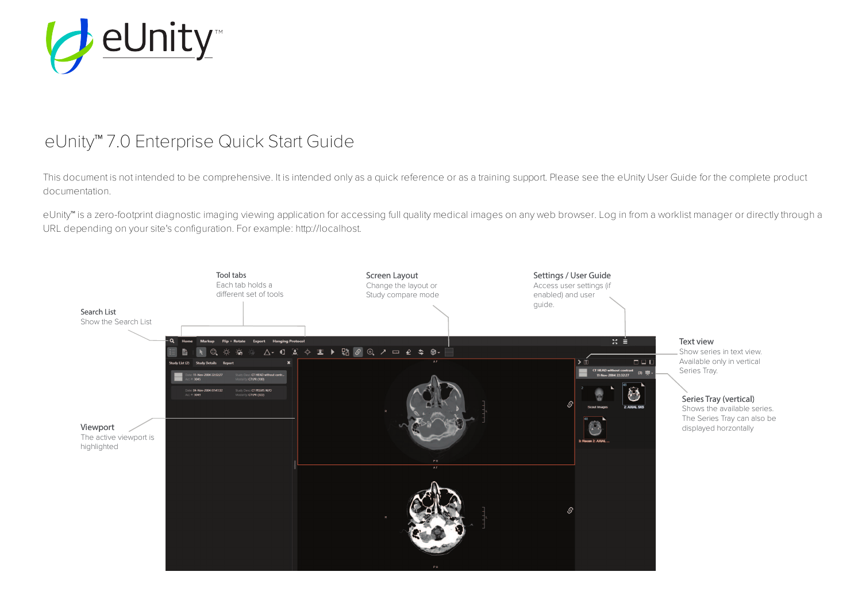

# eUnity™ 7.0 Enterprise Quick Start Guide

This document is not intended to be comprehensive. It is intended only as a quick reference or as a training support. Please see the eUnity User Guide for the complete product documentation.

eUnity™ is a zero-footprint diagnostic imaging viewing application for accessing full quality medical images on any web browser. Log in from a worklist manager or directly through a URL depending on your site's configuration. For example: http://localhost.

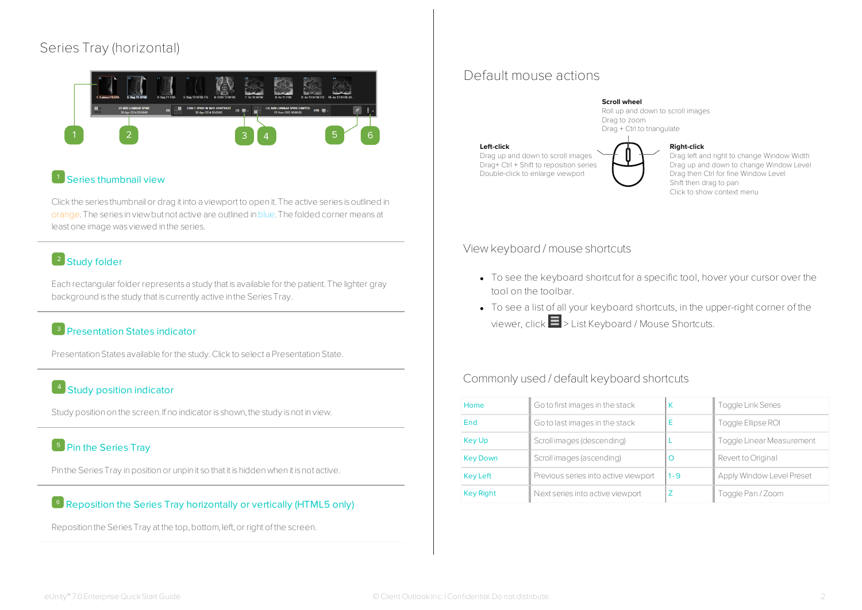# Series Tray (horizontal)



# **Series thumbnail view**

Click the series thumbnail or drag it into a viewport to open it. The active series is outlined in orange.The series in viewbut not active are outlined inblue.The folded corner means at least one image was viewed in the series.

# <sup>2</sup> Study folder

Each rectangular folder represents a study that is available for the patient.The lighter gray background is the study that is currently active in the Series Tray.

# **B** Presentation States indicator

Presentation States available for the study. Click to select a Presentation State.

# 4 Study position indicator

Study position on the screen. If no indicator is shown, the study is not in view.

# <sup>5</sup> Pin the Series Tray

Pin the Series Tray in position or unpin it so that it is hidden when it is not active.

#### $\overline{\phantom{a}}$  Reposition the Series Tray horizontally or vertically (HTML5 only)

Reposition the Series Tray at the top, bottom, left, or right of the screen.

# Default mouse actions



Drag left and right to change Window Width Drag up and down to change Window Level Drag then Ctrl for fine Window Level Shift then drag to pan Click to show context menu

#### View keyboard / mouse shortcuts

- To see the keyboard shortcut for a specific tool, hover your cursor over the tool on the toolbar.
- To see a list of all your keyboard shortcuts, in the upper-right corner of the viewer, click > List Keyboard / Mouse Shortcuts.

# Commonly used / default keyboard shortcuts

| Home             | Go to first images in the stack      | К       | <b>Toggle Link Series</b> |  |
|------------------|--------------------------------------|---------|---------------------------|--|
| End              | Go to last images in the stack       | Е       | Toggle Ellipse ROI        |  |
| <b>Key Up</b>    | Scroll images (descending)           |         | Toggle Linear Measurement |  |
| <b>Key Down</b>  | Scroll images (ascending)            | C       | Revert to Original        |  |
| <b>Key Left</b>  | Previous series into active viewport | $1 - 9$ | Apply Window Level Preset |  |
| <b>Key Right</b> | Next series into active viewport     |         | Toggle Pan / Zoom         |  |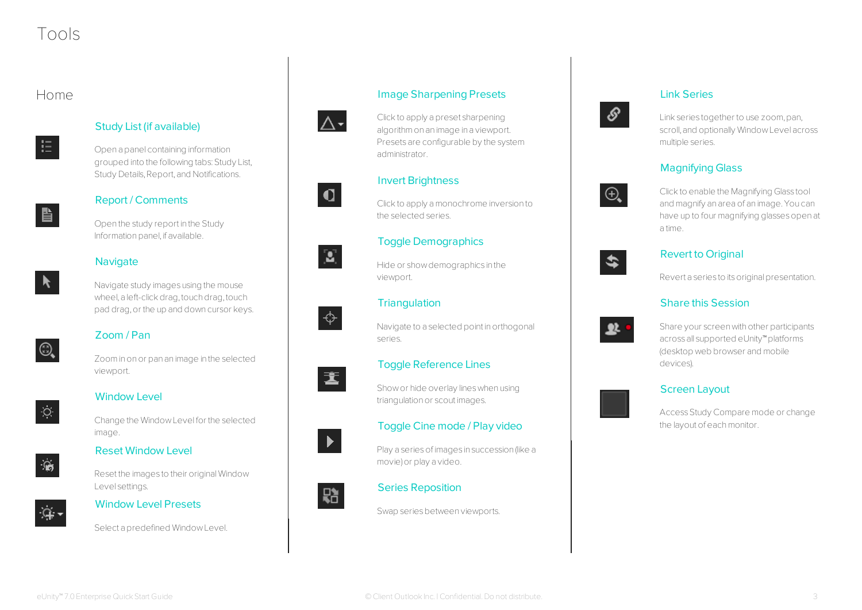# Tools

# Home



### Study List (if available)

Open a panel containing information grouped into the following tabs: Study List, Study Details, Report, and Notifications.



#### Report / Comments

Open the study report in the Study Information panel, if available.

#### **Navigate**



Navigate study images using the mouse wheel, a left-click drag, touch drag, touch pad drag,or the up and down cursor keys.

# Zoom / Pan

Zoominonor pan an image in the selected viewport.



 $\textcircled{\scriptsize{2}}$ 

# Window Level

Change the WindowLevel for the selected image.

# Reset Window Level



Reset the images to their originalWindow Level settings.



# Window Level Presets

Select a predefined WindowLevel.



# Image Sharpening Presets





# Invert Brightness

administrator.

Clickto apply amonochrome inversion to the selected series.

# Toggle Demographics

Hide or showdemographics in the viewport.

## **Triangulation**



畫

 $\mathbf{Z}$ 

Navigate to a selected point in orthogonal series.

## Toggle Reference Lines

Showor hide overlay lineswhen using triangulation or scout images.

#### Toggle Cine mode / Play video

Play a series of images in succession (like a movie)or play a video.



#### Series Reposition

Swap series between viewports.

# Link Series

Link series together to use zoom, pan, scroll,and optionally WindowLevel across multiple series.

# Magnifying Glass



ଙ

Clickto enable the Magnifying Glass tool and magnify an area of an image.You can have up to four magnifying glassesopen at a time.

# \$

#### Revert to Original

Revert a series to its original presentation.

#### Share this Session



Share your screen with other participants across all supported eUnity™platforms (desktop web browser and mobile devices).

## Screen Layout

Access Study Compare mode or change the layout of each monitor.



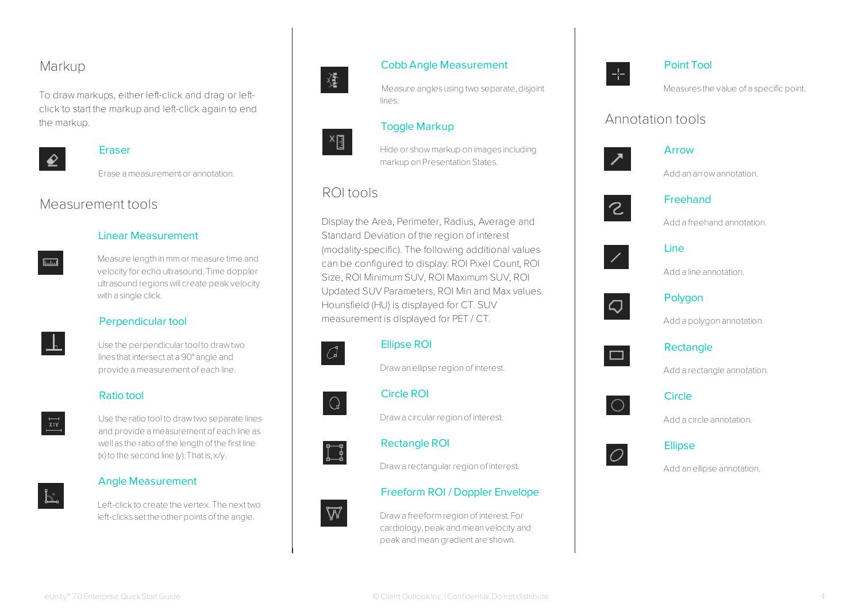# Markup

To draw markups, either left-click and drag or leftclick to start the markup and left-click again to end the markup.



#### **Eraser**

Erase ameasurement or annotation.

# Measurement tools



Measure length inmmor measure time and velocity for echo ultrasound.Time doppler ultrasound regionswill create peakvelocity with a single click.



# Perpendicular tool

Use the perpendicular tool to drawtwo lines that intersect at a 90° angle and provide ameasurement of each line.

#### Ratio tool

 $\frac{x}{x}$ 

Use the ratio tool to drawtwo separate lines and provide ameasurement of each line as well as the ratio of the length of the first line  $(x)$  to the second line  $(y)$ . That is,  $x/y$ .

#### Angle Measurement

Left-clickto create the vertex.The next two left-clicks set the other points of the angle.



 $x_{\text{B}}$ 

#### Cobb Angle Measurement

Measure angles using two separate, disjoint lines.

## Toggle Markup

Hide or showmarkup on images including markup on Presentation States.

# ROI tools

Display the Area, Perimeter, Radius, Average and Standard Deviation of the region of interest (modality-specific). The following additional values can be configured to display: ROI Pixel Count, ROI Size, ROI Minimum SUV, ROI Maximum SUV, ROI Updated SUV Parameters, ROI Min and Max values. Hounsfield (HU) is displayed for CT. SUV measurement is displayed for PET / CT.



#### Ellipse ROI

Drawanellipse regionof interest.



 $\Box$ 

#### Circle ROI

Draw a circular region of interest.

#### Rectangle ROI

Drawa rectangular regionof interest.

#### Freeform ROI / Doppler Envelope



Drawa freeformregionof interest.For cardiology,peak and mean velocity and peak and meangradient are shown.



#### Point Tool

Measures the value of a specific point.

# Annotation tools



#### Arrow

Add an arrowannotation.



#### Freehand

Add a freehand annotation.



#### Line

Add a line annotation.



# Polygon

Add a polygon annotation.



#### Rectangle

Add a rectangle annotation.



#### **Circle**

Add a circle annotation.





Add anellipse annotation.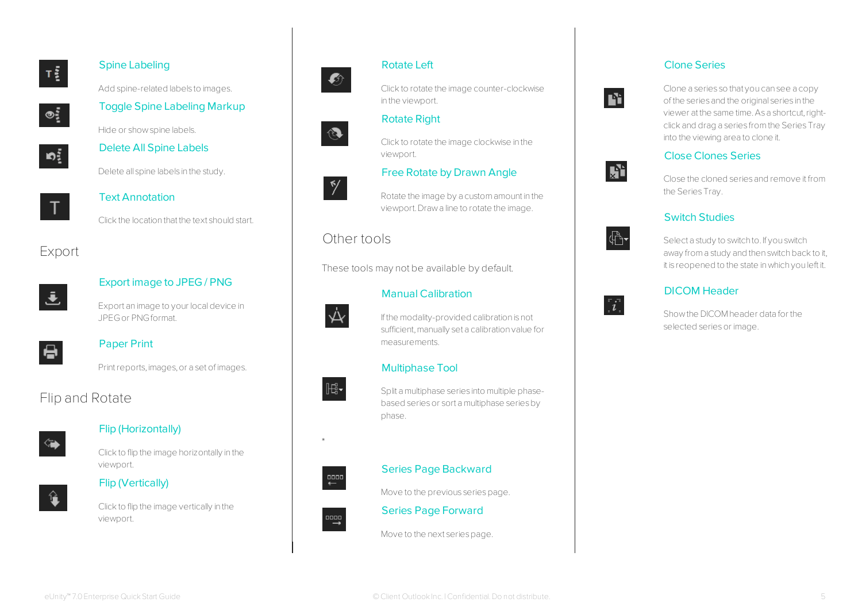

#### Spine Labeling

Add spine-related labels to images.



# Toggle Spine Labeling Markup

Hide or showspine labels.



# Delete All Spine Labels

Delete all spine labels in the study.



# Text Annotation

Clickthe location that the text should start.

# Export



#### Export image to JPEG / PNG

Export an image to your localdevice in JPEGor PNGformat.



#### Paper Print

Print reports, images, or a set of images.

# Flip and Rotate



# Flip (Horizontally)

Clickto flip the image horizontally in the viewport.



Flip (Vertically)



Clickto flip the image vertically in the viewport.



#### Rotate Left

Clickto rotate the image counter-clockwise in the viewport.

# Rotate Right

Clickto rotate the image clockwise in the viewport.

## Free Rotate by Drawn Angle



Rotate the image by a customamount in the viewport.Drawa line to rotate the image.

# Other tools

These tools may not be available by default.



#### Manual Calibration

If the modality-provided calibration is not sufficient, manually set a calibration value for measurements.

## Multiphase Tool



\*

Split amultiphase series into multiple phasebased seriesor sort amultiphase seriesby phase.



# Move to the previous series page.

Series Page Backward

Series Page Forward

Move to the next series page.

# Clone Series



Clone a series so that you can see a copy of the series and the original series in the viewer at the same time. As a shortcut, rightclick and drag a series fromthe SeriesTray into the viewing area to clone it.

# Close Clones Series

Close the cloned series and remove it from the Series Tray.

# Switch Studies



 $\overline{\mathbf{i}}$ 

Rì.

Select a study to switch to. If you switch away from a study and then switch back to it, it is reopened to the state inwhich you left it.

# DICOM Header

Showthe DICOM header data for the selected series or image.